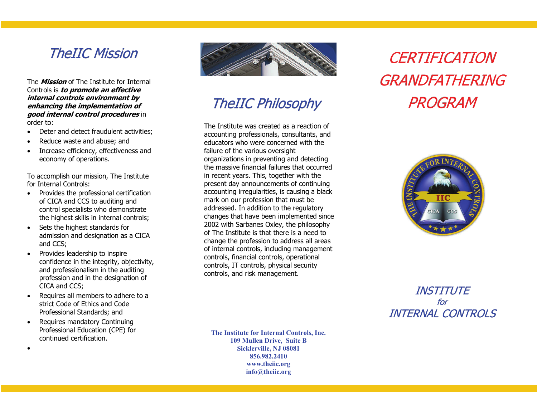### TheIIC Mission

The **Mission** of The Institute for Internal Controls is **to promote an effective internal controls environment by enhancing the implementation of good internal control procedures** in order to:

- Deter and detect fraudulent activities;
- $\bullet$ Reduce waste and abuse; and
- $\bullet$  Increase efficiency, effectiveness and economy of operations.

To accomplish our mission, The Institute for Internal Controls:

- Provides the professional certification of CICA and CCS to auditing and control specialists who demonstrate the highest skills in internal controls;
- $\bullet$  Sets the highest standards for admission and designation as a CICA and CCS;
- $\bullet$  Provides leadership to inspire confidence in the integrity, objectivity, and professionalism in the auditing profession and in the designation of CICA and CCS;
- $\bullet$  Requires all members to adhere to a strict Code of Ethics and Code Professional Standards; and
- $\bullet$  Requires mandatory Continuing Professional Education (CPE) for continued certification.

 $\bullet$ 



## **TheIIC Philosophy**

The Institute was created as a reaction of accounting professionals, consultants, and educators who were concerned with the failure of the various oversight organizations in preventing and detecting the massive financial failures that occurred in recent years. This, together with the present day announcements of continuing accounting irregularities, is causing a black mark on our profession that must be addressed. In addition to the regulatory changes that have been implemented since 2002 with Sarbanes Oxley, the philosophy of The Institute is that there is a need to change the profession to address all areas of internal controls, including management controls, financial controls, operational controls, IT controls, physical security controls, and risk management.

**The Institute for Internal Controls, Inc. 109 Mullen Drive, Suite B Sicklerville, NJ 08081 856.982.2410 www.theiic.org info@theiic.org** 

# **CERTIFICATION** GRANDFATHERINGPROGRAM



#### INSTITUTEforINTERNAL CONTROLS